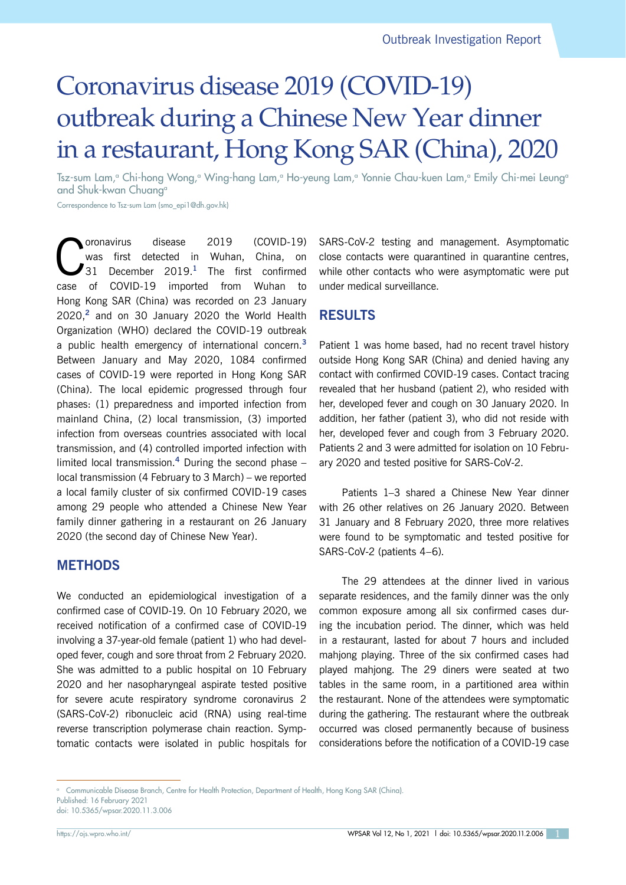# Coronavirus disease 2019 (COVID-19) outbreak during a Chinese New Year dinner in a restaurant, Hong Kong SAR (China), 2020

Tsz-sum Lam,<sup>a</sup> Chi-hong Wong,<sup>a</sup> Wing-hang Lam,<sup>a</sup> Ho-yeung Lam,<sup>a</sup> Yonnie Chau-kuen Lam,<sup>a</sup> Emily Chi-mei Leung<sup>a</sup> and Shuk-kwan Chuanga

Correspondence to Tsz-sum Lam (smo\_epi1@dh.gov.hk)

**C**oronavirus disease 2019 (COVID-19)<br>
was first detected in Wuhan, China, on<br>
31 December 2019.<sup>1</sup> The first confirmed was first detected in Wuhan, China, on case of COVID-19 imported from Wuhan to Hong Kong SAR (China) was recorded on 23 January 2020,**<sup>2</sup>** and on 30 January 2020 the World Health Organization (WHO) declared the COVID-19 outbreak a public health emergency of international concern.**<sup>3</sup>** Between January and May 2020, 1084 confirmed cases of COVID-19 were reported in Hong Kong SAR (China). The local epidemic progressed through four phases: (1) preparedness and imported infection from mainland China, (2) local transmission, (3) imported infection from overseas countries associated with local transmission, and (4) controlled imported infection with limited local transmission.**<sup>4</sup>** During the second phase – local transmission (4 February to 3 March) – we reported a local family cluster of six confirmed COVID-19 cases among 29 people who attended a Chinese New Year family dinner gathering in a restaurant on 26 January 2020 (the second day of Chinese New Year).

## **METHODS**

We conducted an epidemiological investigation of a confirmed case of COVID-19. On 10 February 2020, we received notification of a confirmed case of COVID-19 involving a 37-year-old female (patient 1) who had developed fever, cough and sore throat from 2 February 2020. She was admitted to a public hospital on 10 February 2020 and her nasopharyngeal aspirate tested positive for severe acute respiratory syndrome coronavirus 2 (SARS-CoV-2) ribonucleic acid (RNA) using real-time reverse transcription polymerase chain reaction. Symptomatic contacts were isolated in public hospitals for SARS-CoV-2 testing and management. Asymptomatic close contacts were quarantined in quarantine centres, while other contacts who were asymptomatic were put under medical surveillance.

## **RESULTS**

Patient 1 was home based, had no recent travel history outside Hong Kong SAR (China) and denied having any contact with confirmed COVID-19 cases. Contact tracing revealed that her husband (patient 2), who resided with her, developed fever and cough on 30 January 2020. In addition, her father (patient 3), who did not reside with her, developed fever and cough from 3 February 2020. Patients 2 and 3 were admitted for isolation on 10 February 2020 and tested positive for SARS-CoV-2.

Patients 1–3 shared a Chinese New Year dinner with 26 other relatives on 26 January 2020. Between 31 January and 8 February 2020, three more relatives were found to be symptomatic and tested positive for SARS-CoV-2 (patients 4–6).

The 29 attendees at the dinner lived in various separate residences, and the family dinner was the only common exposure among all six confirmed cases during the incubation period. The dinner, which was held in a restaurant, lasted for about 7 hours and included mahjong playing. Three of the six confirmed cases had played mahjong. The 29 diners were seated at two tables in the same room, in a partitioned area within the restaurant. None of the attendees were symptomatic during the gathering. The restaurant where the outbreak occurred was closed permanently because of business considerations before the notification of a COVID-19 case

<sup>a</sup> Communicable Disease Branch, Centre for Health Protection, Department of Health, Hong Kong SAR (China). Published: 16 February 2021

doi: 10.5365/wpsar.2020.11.3.006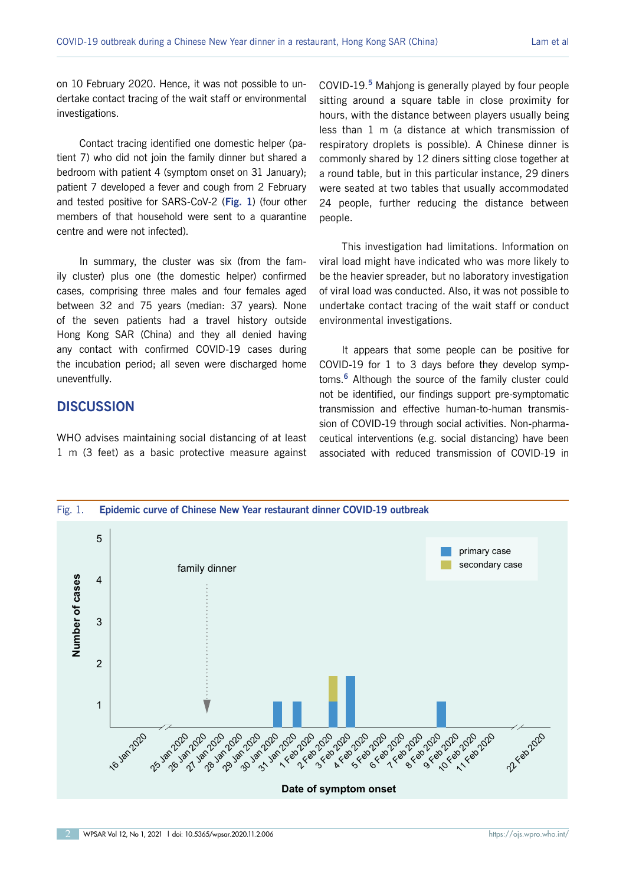on 10 February 2020. Hence, it was not possible to undertake contact tracing of the wait staff or environmental investigations.

Contact tracing identified one domestic helper (patient 7) who did not join the family dinner but shared a bedroom with patient 4 (symptom onset on 31 January); patient 7 developed a fever and cough from 2 February and tested positive for SARS-CoV-2 (**Fig. 1**) (four other members of that household were sent to a quarantine centre and were not infected).

In summary, the cluster was six (from the family cluster) plus one (the domestic helper) confirmed cases, comprising three males and four females aged between 32 and 75 years (median: 37 years). None of the seven patients had a travel history outside Hong Kong SAR (China) and they all denied having any contact with confirmed COVID-19 cases during the incubation period; all seven were discharged home uneventfully.

## **DISCUSSION**

WHO advises maintaining social distancing of at least 1 m (3 feet) as a basic protective measure against

COVID-19.**<sup>5</sup>** Mahjong is generally played by four people sitting around a square table in close proximity for hours, with the distance between players usually being less than 1 m (a distance at which transmission of respiratory droplets is possible). A Chinese dinner is commonly shared by 12 diners sitting close together at a round table, but in this particular instance, 29 diners were seated at two tables that usually accommodated 24 people, further reducing the distance between people.

This investigation had limitations. Information on viral load might have indicated who was more likely to be the heavier spreader, but no laboratory investigation of viral load was conducted. Also, it was not possible to undertake contact tracing of the wait staff or conduct environmental investigations.

It appears that some people can be positive for COVID-19 for 1 to 3 days before they develop symptoms.**<sup>6</sup>** Although the source of the family cluster could not be identified, our findings support pre-symptomatic transmission and effective human-to-human transmission of COVID-19 through social activities. Non-pharmaceutical interventions (e.g. social distancing) have been associated with reduced transmission of COVID-19 in